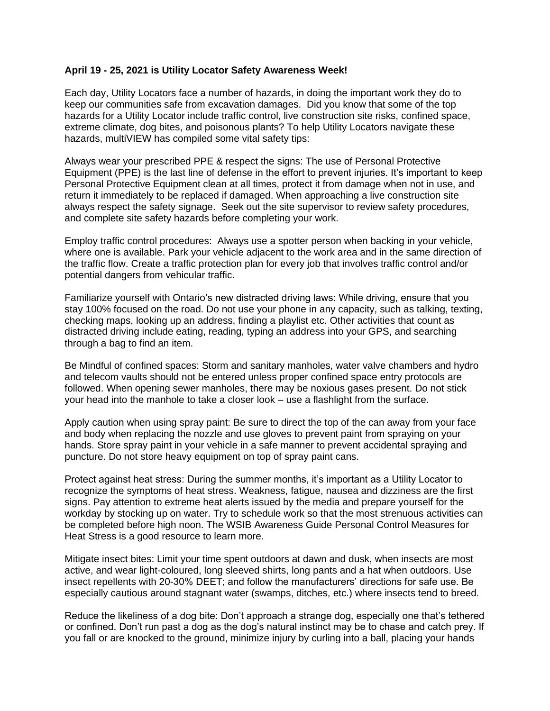## **April 19 - 25, 2021 is Utility Locator Safety Awareness Week!**

Each day, Utility Locators face a number of hazards, in doing the important work they do to keep our communities safe from excavation damages. Did you know that some of the top hazards for a Utility Locator include traffic control, live construction site risks, confined space, extreme climate, dog bites, and poisonous plants? To help Utility Locators navigate these hazards, multiVIEW has compiled some vital safety tips:

Always wear your prescribed PPE & respect the signs: The use of Personal Protective Equipment (PPE) is the last line of defense in the effort to prevent injuries. It's important to keep Personal Protective Equipment clean at all times, protect it from damage when not in use, and return it immediately to be replaced if damaged. When approaching a live construction site always respect the safety signage. Seek out the site supervisor to review safety procedures, and complete site safety hazards before completing your work.

Employ traffic control procedures: Always use a spotter person when backing in your vehicle, where one is available. Park your vehicle adjacent to the work area and in the same direction of the traffic flow. Create a traffic protection plan for every job that involves traffic control and/or potential dangers from vehicular traffic.

Familiarize yourself with Ontario's new distracted driving laws: While driving, ensure that you stay 100% focused on the road. Do not use your phone in any capacity, such as talking, texting, checking maps, looking up an address, finding a playlist etc. Other activities that count as distracted driving include eating, reading, typing an address into your GPS, and searching through a bag to find an item.

Be Mindful of confined spaces: Storm and sanitary manholes, water valve chambers and hydro and telecom vaults should not be entered unless proper confined space entry protocols are followed. When opening sewer manholes, there may be noxious gases present. Do not stick your head into the manhole to take a closer look – use a flashlight from the surface.

Apply caution when using spray paint: Be sure to direct the top of the can away from your face and body when replacing the nozzle and use gloves to prevent paint from spraying on your hands. Store spray paint in your vehicle in a safe manner to prevent accidental spraying and puncture. Do not store heavy equipment on top of spray paint cans.

Protect against heat stress: During the summer months, it's important as a Utility Locator to recognize the symptoms of heat stress. Weakness, fatigue, nausea and dizziness are the first signs. Pay attention to extreme heat alerts issued by the media and prepare yourself for the workday by stocking up on water. Try to schedule work so that the most strenuous activities can be completed before high noon. The WSIB Awareness Guide Personal Control Measures for Heat Stress is a good resource to learn more.

Mitigate insect bites: Limit your time spent outdoors at dawn and dusk, when insects are most active, and wear light-coloured, long sleeved shirts, long pants and a hat when outdoors. Use insect repellents with 20-30% DEET; and follow the manufacturers' directions for safe use. Be especially cautious around stagnant water (swamps, ditches, etc.) where insects tend to breed.

Reduce the likeliness of a dog bite: Don't approach a strange dog, especially one that's tethered or confined. Don't run past a dog as the dog's natural instinct may be to chase and catch prey. If you fall or are knocked to the ground, minimize injury by curling into a ball, placing your hands